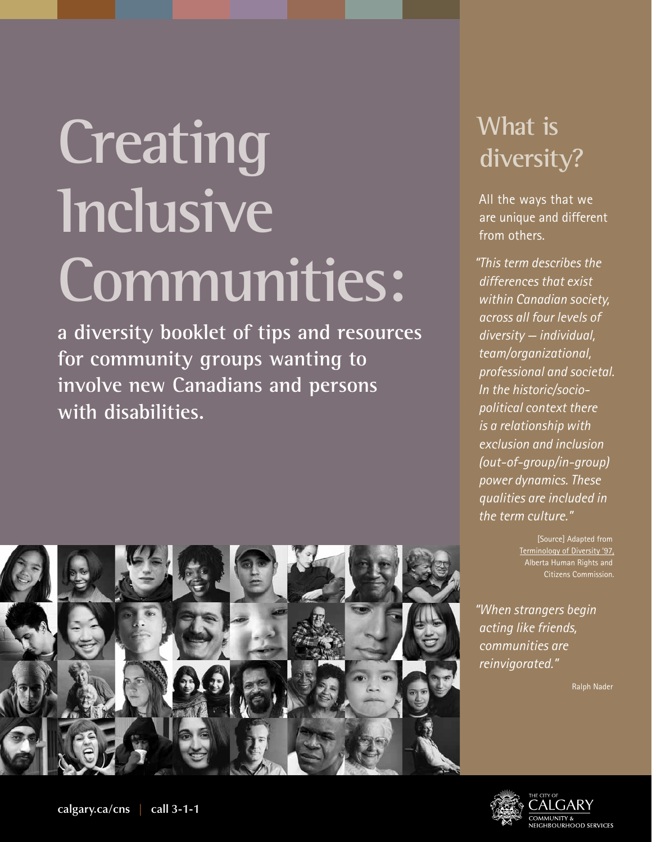# **Creating Inclusive Communities:**

**a diversity booklet of tips and resources for community groups wanting to involve new Canadians and persons with disabilities.**

#### **What is diversity?**

All the ways that we are unique and different from others.

*"This term describes the differences that exist within Canadian society, across all four levels of diversity — individual, team/organizational, professional and societal. In the historic/sociopolitical context there is a relationship with exclusion and inclusion (out-of-group/in-group) power dynamics. These qualities are included in the term culture."*

> [Source] Adapted from Terminology of Diversity '97, Alberta Human Rights and Citizens Commission.

*"When strangers begin acting like friends, communities are reinvigorated."*

Ralph Nader



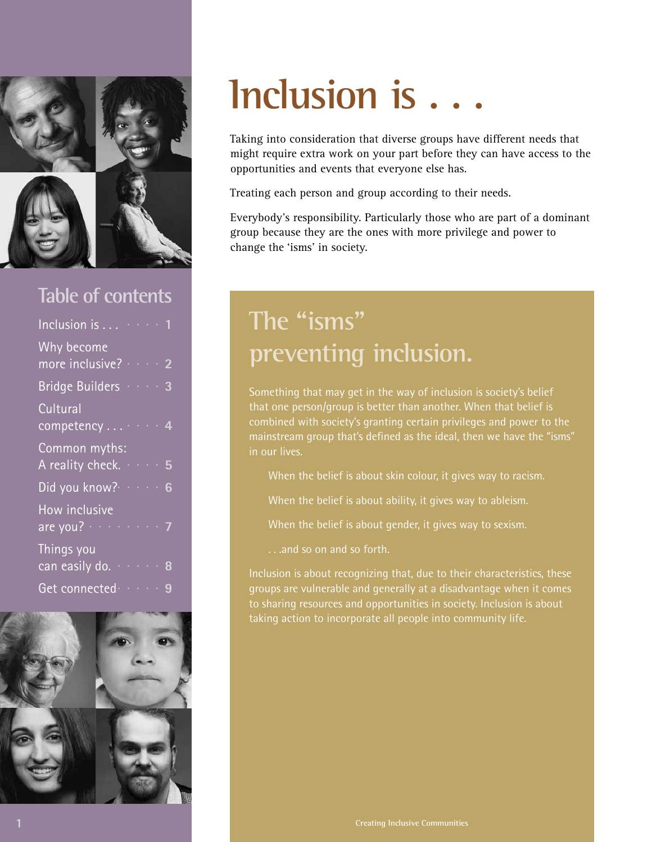

#### **Table of contents**



## **Inclusion is . . .**

Taking into consideration that diverse groups have different needs that might require extra work on your part before they can have access to the opportunities and events that everyone else has.

Treating each person and group according to their needs.

Everybody's responsibility. Particularly those who are part of a dominant group because they are the ones with more privilege and power to change the 'isms' in society.

#### **The "isms" preventing inclusion.**

Something that may get in the way of inclusion is society's belief that one person/group is better than another. When that belief is combined with society's granting certain privileges and power to the mainstream group that's defined as the ideal, then we have the "isms" in our lives.

When the belief is about skin colour, it gives way to racism.

When the belief is about ability, it gives way to ableism.

When the belief is about gender, it gives way to sexism.

. . .and so on and so forth.

Inclusion is about recognizing that, due to their characteristics, these groups are vulnerable and generally at a disadvantage when it comes to sharing resources and opportunities in society. Inclusion is about taking action to incorporate all people into community life.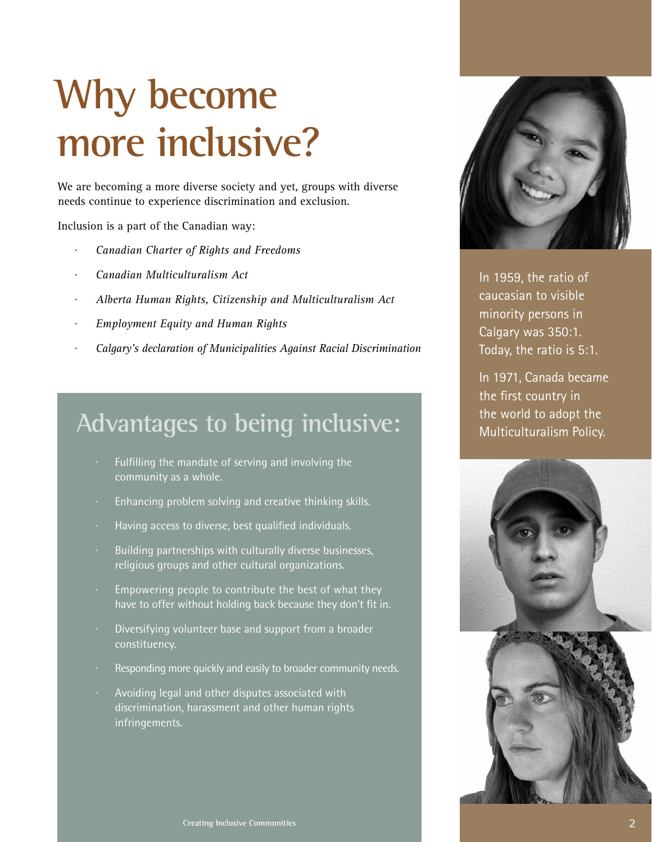## **Why become more inclusive?**

We are becoming a more diverse society and yet, groups with diverse needs continue to experience discrimination and exclusion.

Inclusion is a part of the Canadian way:

- *· Canadian Charter of Rights and Freedoms*
- *· Canadian Multiculturalism Act*
- *· Alberta Human Rights, Citizenship and Multiculturalism Act*
- *· Employment Equity and Human Rights*
- *· Calgary's declaration of Municipalities Against Racial Discrimination*

#### **Advantages to being inclusive:**

- · Fulfilling the mandate of serving and involving the community as a whole.
- · Enhancing problem solving and creative thinking skills.
- · Having access to diverse, best qualified individuals.
- · Building partnerships with culturally diverse businesses, religious groups and other cultural organizations.
- · Empowering people to contribute the best of what they have to offer without holding back because they don't fit in.
- Diversifying volunteer base and support from a broader constituency.
- Responding more quickly and easily to broader community needs.
- · Avoiding legal and other disputes associated with discrimination, harassment and other human rights infringements.



In 1959, the ratio of caucasian to visible minority persons in Calgary was 350:1. Today, the ratio is 5:1.

In 1971, Canada became the first country in the world to adopt the Multiculturalism Policy.

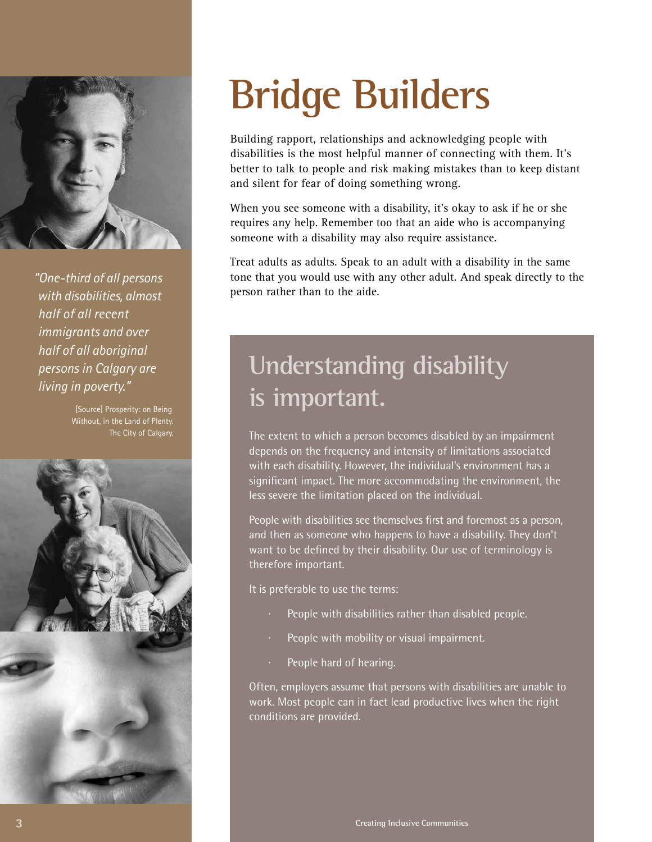

*"One-third of all persons with disabilities, almost half of all recent immigrants and over half of all aboriginal persons in Calgary are living in poverty."*

> [Source] Prosperity: on Being Without, in the Land of Plenty. The City of Calgary.



## **Bridge Builders**

Building rapport, relationships and acknowledging people with disabilities is the most helpful manner of connecting with them. It's better to talk to people and risk making mistakes than to keep distant and silent for fear of doing something wrong.

When you see someone with a disability, it's okay to ask if he or she requires any help. Remember too that an aide who is accompanying someone with a disability may also require assistance.

Treat adults as adults. Speak to an adult with a disability in the same tone that you would use with any other adult. And speak directly to the person rather than to the aide.

#### **Understanding disability is important.**

The extent to which a person becomes disabled by an impairment depends on the frequency and intensity of limitations associated with each disability. However, the individual's environment has a significant impact. The more accommodating the environment, the less severe the limitation placed on the individual.

People with disabilities see themselves first and foremost as a person, and then as someone who happens to have a disability. They don't want to be defined by their disability. Our use of terminology is therefore important.

It is preferable to use the terms:

- People with disabilities rather than disabled people.
- People with mobility or visual impairment.
- People hard of hearing.

Often, employers assume that persons with disabilities are unable to work. Most people can in fact lead productive lives when the right conditions are provided.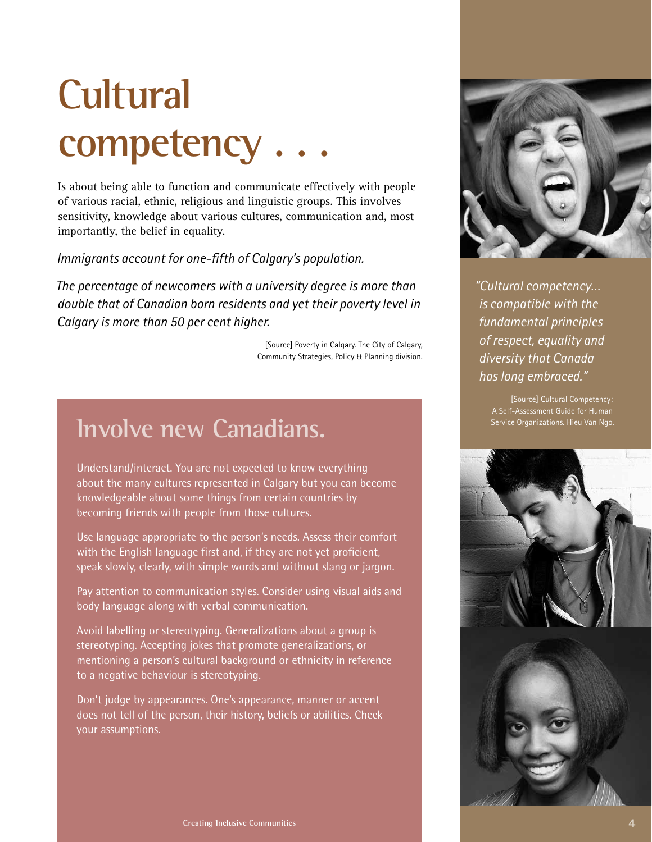## **Cultural competency . . .**

Is about being able to function and communicate effectively with people of various racial, ethnic, religious and linguistic groups. This involves sensitivity, knowledge about various cultures, communication and, most importantly, the belief in equality.

*Immigrants account for one-fifth of Calgary's population.*

*The percentage of newcomers with a university degree is more than double that of Canadian born residents and yet their poverty level in Calgary is more than 50 per cent higher.*

> [Source] Poverty in Calgary. The City of Calgary, Community Strategies, Policy & Planning division.

#### **Involve new Canadians.**

Understand/interact. You are not expected to know everything about the many cultures represented in Calgary but you can become knowledgeable about some things from certain countries by becoming friends with people from those cultures.

Use language appropriate to the person's needs. Assess their comfort with the English language first and, if they are not yet proficient, speak slowly, clearly, with simple words and without slang or jargon.

Pay attention to communication styles. Consider using visual aids and body language along with verbal communication.

Avoid labelling or stereotyping. Generalizations about a group is stereotyping. Accepting jokes that promote generalizations, or mentioning a person's cultural background or ethnicity in reference to a negative behaviour is stereotyping.

Don't judge by appearances. One's appearance, manner or accent does not tell of the person, their history, beliefs or abilities. Check your assumptions.



*"Cultural competency… is compatible with the fundamental principles of respect, equality and diversity that Canada has long embraced."*

> [Source] Cultural Competency: A Self-Assessment Guide for Human Service Organizations. Hieu Van Ngo.

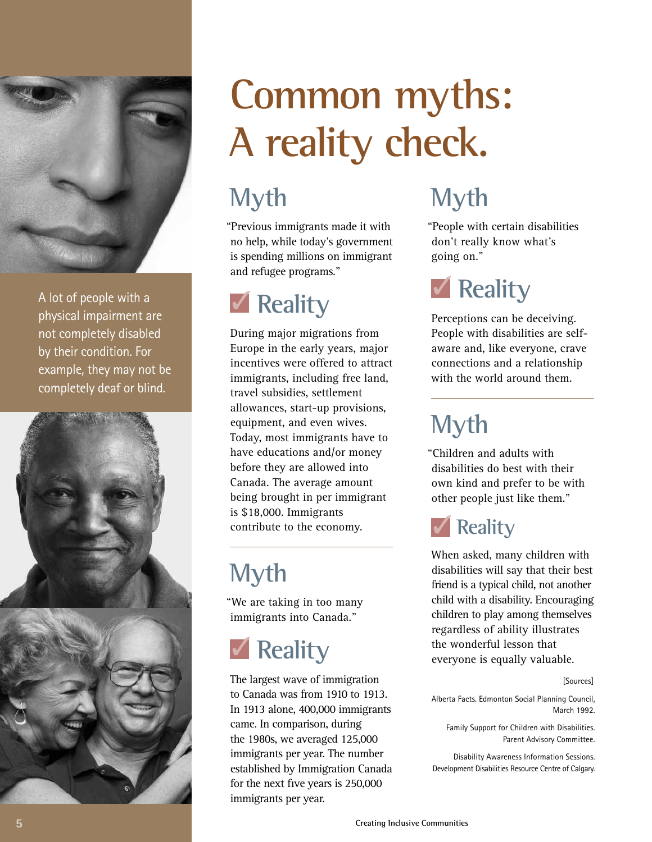

A lot of people with a physical impairment are not completely disabled by their condition. For example, they may not be completely deaf or blind.



## **Common myths: A reality check.**

#### **Myth**

"Previous immigrants made it with no help, while today's government is spending millions on immigrant and refugee programs."

#### **Reality**

During major migrations from Europe in the early years, major incentives were offered to attract immigrants, including free land, travel subsidies, settlement allowances, start-up provisions, equipment, and even wives. Today, most immigrants have to have educations and/or money before they are allowed into Canada. The average amount being brought in per immigrant is \$18,000. Immigrants contribute to the economy.

### **Myth**

"We are taking in too many immigrants into Canada."

### **Reality**

The largest wave of immigration to Canada was from 1910 to 1913. In 1913 alone, 400,000 immigrants came. In comparison, during the 1980s, we averaged 125,000 immigrants per year. The number established by Immigration Canada for the next five years is 250,000 immigrants per year.

#### **Myth**

"People with certain disabilities don't really know what's going on."

### *<u>M</u>* Reality

Perceptions can be deceiving. People with disabilities are selfaware and, like everyone, crave connections and a relationship with the world around them.

### **Myth**

"Children and adults with disabilities do best with their own kind and prefer to be with other people just like them."

#### **Reality**

When asked, many children with disabilities will say that their best friend is a typical child, not another child with a disability. Encouraging children to play among themselves regardless of ability illustrates the wonderful lesson that everyone is equally valuable.

#### [Sources]

Alberta Facts. Edmonton Social Planning Council, March 1992.

Family Support for Children with Disabilities. Parent Advisory Committee.

Disability Awareness Information Sessions. Development Disabilities Resource Centre of Calgary.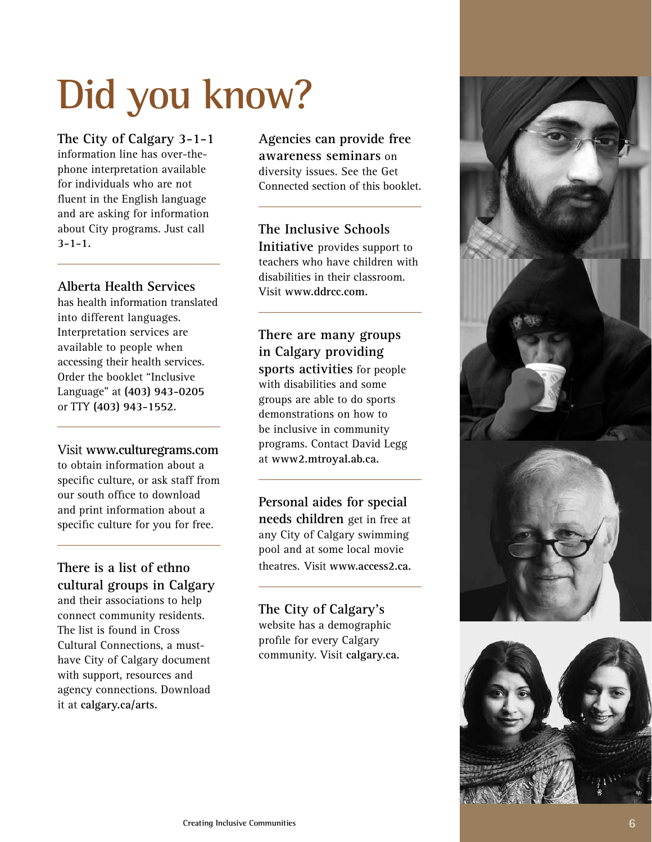## **Did you know?**

**The City of Calgary 3-1-1**  information line has over-thephone interpretation available for individuals who are not fluent in the English language and are asking for information about City programs. Just call **3-1-1.**

#### **Alberta Health Services**

has health information translated into different languages. Interpretation services are available to people when accessing their health services. Order the booklet "Inclusive Language" at **(403) 943-0205**  or TTY **(403) 943-1552.**

#### Visit **www.culturegrams.com**

to obtain information about a specific culture, or ask staff from our south office to download and print information about a specific culture for you for free.

**There is a list of ethno cultural groups in Calgary** and their associations to help connect community residents. The list is found in Cross Cultural Connections, a musthave City of Calgary document with support, resources and agency connections. Download it at **calgary.ca/arts.**

**Agencies can provide free awareness seminars** on diversity issues. See the Get Connected section of this booklet.

#### **The Inclusive Schools**

**Initiative** provides support to teachers who have children with disabilities in their classroom. Visit **www.ddrcc.com.**

**There are many groups in Calgary providing sports activities** for people with disabilities and some groups are able to do sports demonstrations on how to be inclusive in community programs. Contact David Legg

**Personal aides for special** 

at **www2.mtroyal.ab.ca.**

**needs children** get in free at any City of Calgary swimming pool and at some local movie theatres. Visit **www.access2.ca.**

#### **The City of Calgary's**  website has a demographic

profile for every Calgary community. Visit **calgary.ca.**



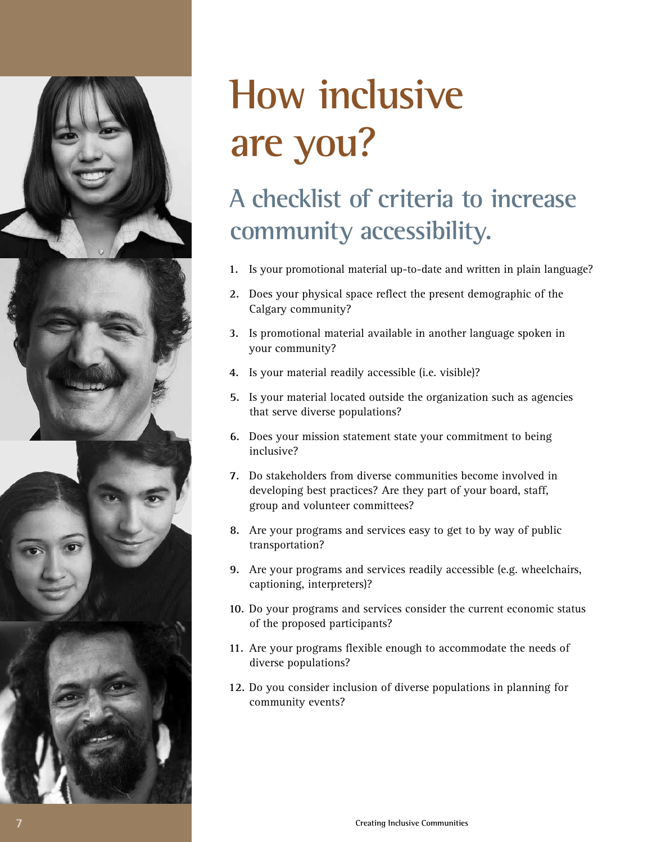

## **How inclusive are you?**

### **A checklist of criteria to increase community accessibility.**

- **1.** Is your promotional material up-to-date and written in plain language?
- **2.** Does your physical space reflect the present demographic of the Calgary community?
- **3.** Is promotional material available in another language spoken in your community?
- **4.** Is your material readily accessible (i.e. visible)?
- **5.** Is your material located outside the organization such as agencies that serve diverse populations?
- **6.** Does your mission statement state your commitment to being inclusive?
- **7.** Do stakeholders from diverse communities become involved in developing best practices? Are they part of your board, staff, group and volunteer committees?
- **8.** Are your programs and services easy to get to by way of public transportation?
- **9.** Are your programs and services readily accessible (e.g. wheelchairs, captioning, interpreters)?
- **10.** Do your programs and services consider the current economic status of the proposed participants?
- **11.** Are your programs flexible enough to accommodate the needs of diverse populations?
- **12.** Do you consider inclusion of diverse populations in planning for community events?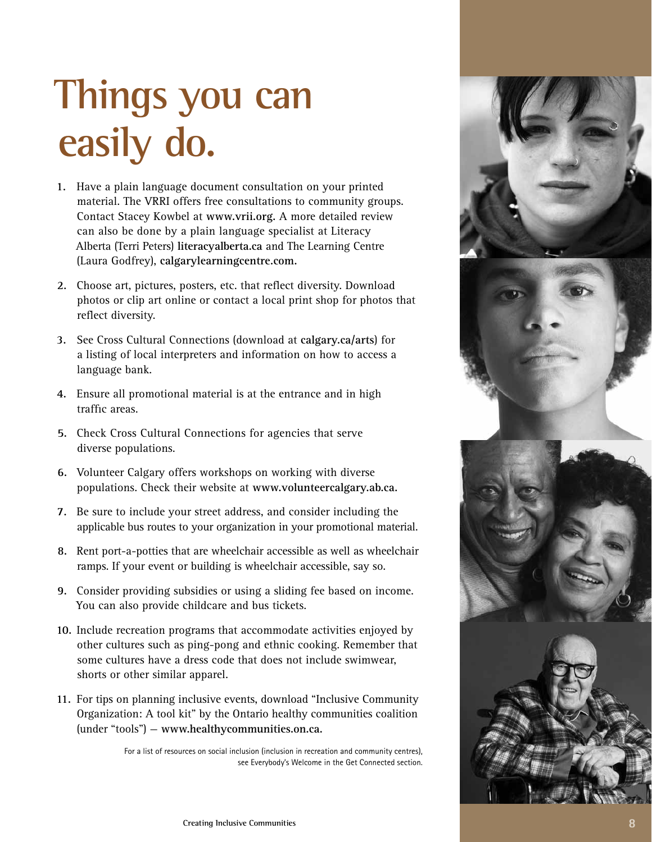## **Things you can easily do.**

- **1.** Have a plain language document consultation on your printed material. The VRRI offers free consultations to community groups. Contact Stacey Kowbel at **www.vrii.org.** A more detailed review can also be done by a plain language specialist at Literacy Alberta (Terri Peters) **literacyalberta.ca** and The Learning Centre (Laura Godfrey), **calgarylearningcentre.com.**
- **2.** Choose art, pictures, posters, etc. that reflect diversity. Download photos or clip art online or contact a local print shop for photos that reflect diversity.
- **3.** See Cross Cultural Connections (download at **calgary.ca/arts**) for a listing of local interpreters and information on how to access a language bank.
- **4.** Ensure all promotional material is at the entrance and in high traffic areas.
- **5.** Check Cross Cultural Connections for agencies that serve diverse populations.
- **6.** Volunteer Calgary offers workshops on working with diverse populations. Check their website at **www.volunteercalgary.ab.ca.**
- **7.** Be sure to include your street address, and consider including the applicable bus routes to your organization in your promotional material.
- **8.** Rent port-a-potties that are wheelchair accessible as well as wheelchair ramps. If your event or building is wheelchair accessible, say so.
- **9.** Consider providing subsidies or using a sliding fee based on income. You can also provide childcare and bus tickets.
- **10.** Include recreation programs that accommodate activities enjoyed by other cultures such as ping-pong and ethnic cooking. Remember that some cultures have a dress code that does not include swimwear, shorts or other similar apparel.
- **11.** For tips on planning inclusive events, download "Inclusive Community Organization: A tool kit" by the Ontario healthy communities coalition (under "tools") — **www.healthycommunities.on.ca.**

For a list of resources on social inclusion (inclusion in recreation and community centres), see Everybody's Welcome in the Get Connected section.

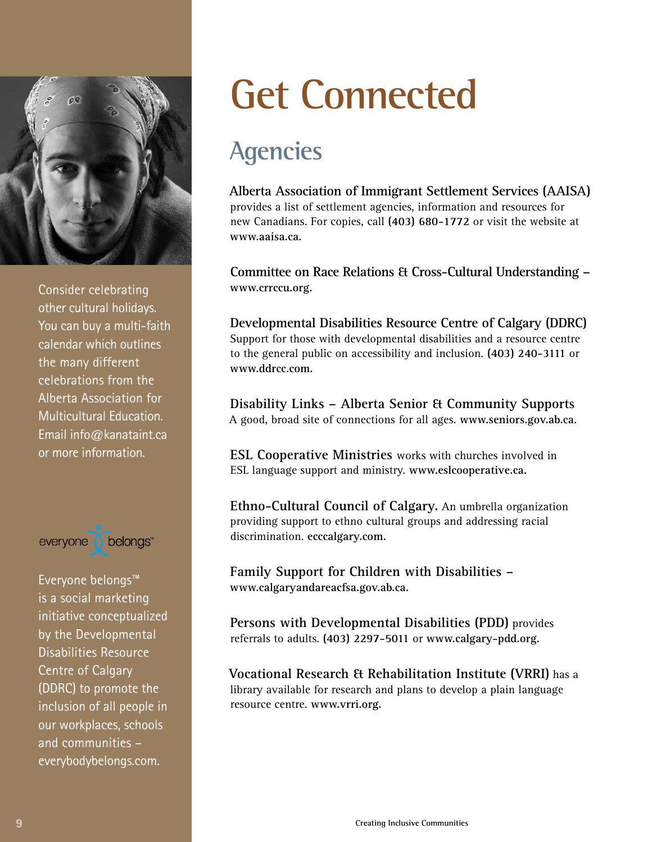

Consider celebrating other cultural holidays. You can buy a multi-faith calendar which outlines the many different celebrations from the Alberta Association for Multicultural Education. Email info@kanataint.ca or more information.



Everyone belongs™ is a social marketing initiative conceptualized by the Developmental Disabilities Resource Centre of Calgary (DDRC) to promote the inclusion of all people in our workplaces, schools and communities – everybodybelongs.com.

## **Get Connected**

#### **Agencies**

**Alberta Association of Immigrant Settlement Services (AAISA)** provides a list of settlement agencies, information and resources for new Canadians. For copies, call **(403) 680-1772** or visit the website at **www.aaisa.ca.**

**Committee on Race Relations & Cross-Cultural Understanding – www.crrccu.org.**

**Developmental Disabilities Resource Centre of Calgary (DDRC)** Support for those with developmental disabilities and a resource centre to the general public on accessibility and inclusion. **(403) 240-3111** or **www.ddrcc.com.**

**Disability Links – Alberta Senior & Community Supports**  A good, broad site of connections for all ages. **www.seniors.gov.ab.ca.**

**ESL Cooperative Ministries** works with churches involved in ESL language support and ministry. **www.eslcooperative.ca.**

**Ethno-Cultural Council of Calgary.** An umbrella organization providing support to ethno cultural groups and addressing racial discrimination. **ecccalgary.com.**

**Family Support for Children with Disabilities – www.calgaryandareacfsa.gov.ab.ca.**

**Persons with Developmental Disabilities (PDD)** provides referrals to adults. **(403) 2297-5011** or **www.calgary-pdd.org.**

**Vocational Research & Rehabilitation Institute (VRRI)** has a library available for research and plans to develop a plain language resource centre. **www.vrri.org.**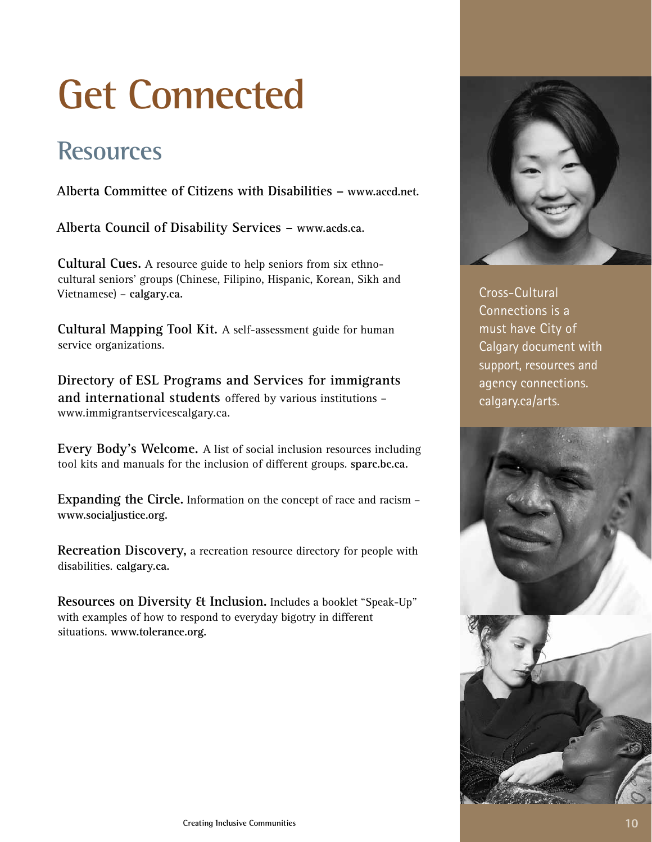## **Get Connected**

#### **Resources**

**Alberta Committee of Citizens with Disabilities – www.accd.net.**

**Alberta Council of Disability Services – www.acds.ca.**

**Cultural Cues.** A resource guide to help seniors from six ethnocultural seniors' groups (Chinese, Filipino, Hispanic, Korean, Sikh and Vietnamese) – **calgary.ca.**

**Cultural Mapping Tool Kit.** A self-assessment guide for human service organizations.

**Directory of ESL Programs and Services for immigrants and international students** offered by various institutions – www.immigrantservicescalgary.ca.

**Every Body's Welcome.** A list of social inclusion resources including tool kits and manuals for the inclusion of different groups. **sparc.bc.ca.**

**Expanding the Circle.** Information on the concept of race and racism – **www.socialjustice.org.**

**Recreation Discovery,** a recreation resource directory for people with disabilities. **calgary.ca.**

**Resources on Diversity & Inclusion.** Includes a booklet "Speak-Up" with examples of how to respond to everyday bigotry in different situations. **www.tolerance.org.**



Cross-Cultural Connections is a must have City of Calgary document with support, resources and agency connections. calgary.ca/arts.